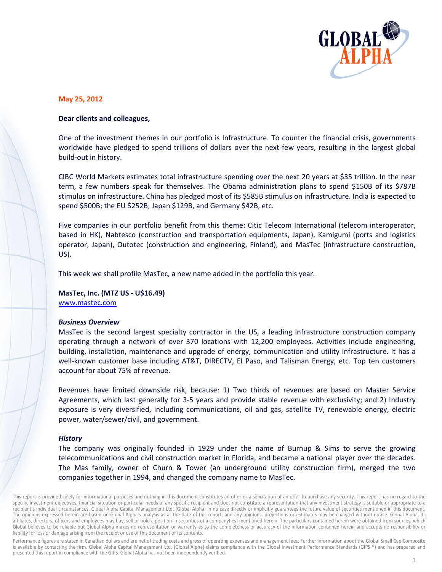

## May 25, 2012

# Dear clients and colleagues,

One of the investment themes in our portfolio is Infrastructure. To counter the financial crisis, governments worldwide have pledged to spend trillions of dollars over the next few years, resulting in the largest global build-out in history.

CIBC World Markets estimates total infrastructure spending over the next 20 years at \$35 trillion. In the near term, a few numbers speak for themselves. The Obama administration plans to spend \$150B of its \$787B stimulus on infrastructure. China has pledged most of its \$585B stimulus on infrastructure. India is expected to spend \$500B; the EU \$252B; Japan \$129B, and Germany \$42B, etc.

Five companies in our portfolio benefit from this theme: Citic Telecom International (telecom interoperator, based in HK), Nabtesco (construction and transportation equipments, Japan), Kamigumi (ports and logistics operator, Japan), Outotec (construction and engineering, Finland), and MasTec (infrastructure construction,  $US$ ).

This week we shall profile MasTec, a new name added in the portfolio this year.

# MasTec, Inc. (MTZ US - U\$16.49) www.mastec.com

## **Business Overview**

MasTec is the second largest specialty contractor in the US, a leading infrastructure construction company operating through a network of over 370 locations with 12,200 employees. Activities include engineering, building, installation, maintenance and upgrade of energy, communication and utility infrastructure. It has a well-known customer base including AT&T, DIRECTV, EI Paso, and Talisman Energy, etc. Top ten customers account for about 75% of revenue.

Revenues have limited downside risk, because: 1) Two thirds of revenues are based on Master Service Agreements, which last generally for 3-5 years and provide stable revenue with exclusivity; and 2) Industry exposure is very diversified, including communications, oil and gas, satellite TV, renewable energy, electric power, water/sewer/civil, and government.

# **History**

The company was originally founded in 1929 under the name of Burnup & Sims to serve the growing telecommunications and civil construction market in Florida, and became a national player over the decades. The Mas family, owner of Churn & Tower (an underground utility construction firm), merged the two companies together in 1994, and changed the company name to MasTec.

This report is provided solely for informational purposes and nothing in this document constitutes an offer or a solicitation of an offer to purchase any security. This report has no regard to the specific investment objectives, financial situation or particular needs of any specific recipient and does not constitute a representation that any investment strategy is suitable or appropriate to a recipient's individual circumstances. Global Alpha Capital Management Ltd. (Global Alpha) in no case directly or implicitly guarantees the future value of securities mentioned in this document. The opinions expressed herein are based on Global Alpha's analysis as at the date of this report, and any opinions, projections or estimates may be changed without notice. Global Alpha, its affiliates, directors, officers and employees may buy, sell or hold a position in securities of a company(ies) mentioned herein. The particulars contained herein were obtained from sources, which Global believes to be reliable but Global Alpha makes no representation or warranty as to the completeness or accuracy of the information contained herein and accepts no responsibility or liability for loss or damage arising from the receipt or use of this document or its contents.

Performance figures are stated in Canadian dollars and are net of trading costs and gross of operating expenses and management fees. Further information about the Global Small Cap Composite is available by contacting the firm. Global Alpha Capital Management Ltd. (Global Alpha) claims compliance with the Global Investment Performance Standards (GIPS ®) and has prepared and presented this report in compliance with the GIPS. Global Alpha has not been independently verified.